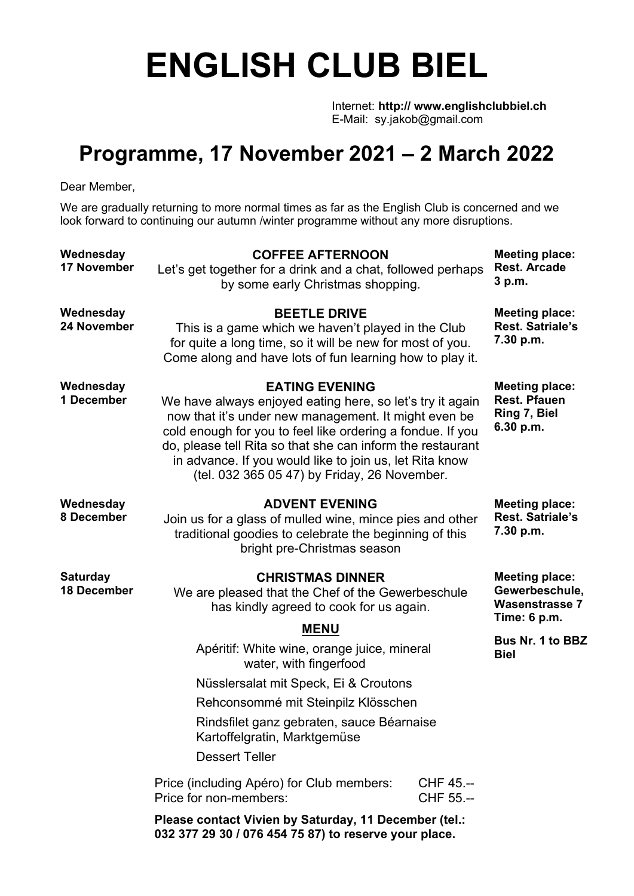## **ENGLISH CLUB BIEL**

Internet: **http:// www.englishclubbiel.ch** E-Mail: sy.jakob@gmail.com

## **Programme, 17 November 2021 – 2 March 2022**

Dear Member,

We are gradually returning to more normal times as far as the English Club is concerned and we look forward to continuing our autumn /winter programme without any more disruptions.

| Wednesday<br><b>17 November</b>       | <b>COFFEE AFTERNOON</b><br>Let's get together for a drink and a chat, followed perhaps<br>by some early Christmas shopping.                                                                                                                                                                                                                                                       |                        | <b>Meeting place:</b><br><b>Rest. Arcade</b><br>3 p.m.                           |
|---------------------------------------|-----------------------------------------------------------------------------------------------------------------------------------------------------------------------------------------------------------------------------------------------------------------------------------------------------------------------------------------------------------------------------------|------------------------|----------------------------------------------------------------------------------|
| Wednesday<br>24 November              | <b>BEETLE DRIVE</b><br>This is a game which we haven't played in the Club<br>for quite a long time, so it will be new for most of you.<br>Come along and have lots of fun learning how to play it.                                                                                                                                                                                |                        | <b>Meeting place:</b><br><b>Rest. Satriale's</b><br>7.30 p.m.                    |
| Wednesday<br>1 December               | <b>EATING EVENING</b><br>We have always enjoyed eating here, so let's try it again<br>now that it's under new management. It might even be<br>cold enough for you to feel like ordering a fondue. If you<br>do, please tell Rita so that she can inform the restaurant<br>in advance. If you would like to join us, let Rita know<br>(tel. 032 365 05 47) by Friday, 26 November. |                        | <b>Meeting place:</b><br><b>Rest. Pfauen</b><br>Ring 7, Biel<br>6.30 p.m.        |
| Wednesday<br>8 December               | <b>ADVENT EVENING</b><br>Join us for a glass of mulled wine, mince pies and other<br>traditional goodies to celebrate the beginning of this<br>bright pre-Christmas season                                                                                                                                                                                                        |                        | <b>Meeting place:</b><br><b>Rest. Satriale's</b><br>7.30 p.m.                    |
| <b>Saturday</b><br><b>18 December</b> | <b>CHRISTMAS DINNER</b><br>We are pleased that the Chef of the Gewerbeschule<br>has kindly agreed to cook for us again.                                                                                                                                                                                                                                                           |                        | <b>Meeting place:</b><br>Gewerbeschule,<br><b>Wasenstrasse 7</b><br>Time: 6 p.m. |
|                                       | <b>MENU</b><br>Apéritif: White wine, orange juice, mineral<br>water, with fingerfood                                                                                                                                                                                                                                                                                              |                        | Bus Nr. 1 to BBZ<br><b>Biel</b>                                                  |
|                                       | Nüsslersalat mit Speck, Ei & Croutons                                                                                                                                                                                                                                                                                                                                             |                        |                                                                                  |
|                                       | Rehconsommé mit Steinpilz Klösschen                                                                                                                                                                                                                                                                                                                                               |                        |                                                                                  |
|                                       | Rindsfilet ganz gebraten, sauce Béarnaise<br>Kartoffelgratin, Marktgemüse                                                                                                                                                                                                                                                                                                         |                        |                                                                                  |
|                                       | <b>Dessert Teller</b>                                                                                                                                                                                                                                                                                                                                                             |                        |                                                                                  |
|                                       | Price (including Apéro) for Club members:<br>Price for non-members:                                                                                                                                                                                                                                                                                                               | CHF 45.--<br>CHF 55.-- |                                                                                  |
|                                       | Please contact Vivien by Saturday, 11 December (tel.:<br>032 377 29 30 / 076 454 75 87) to reserve your place.                                                                                                                                                                                                                                                                    |                        |                                                                                  |